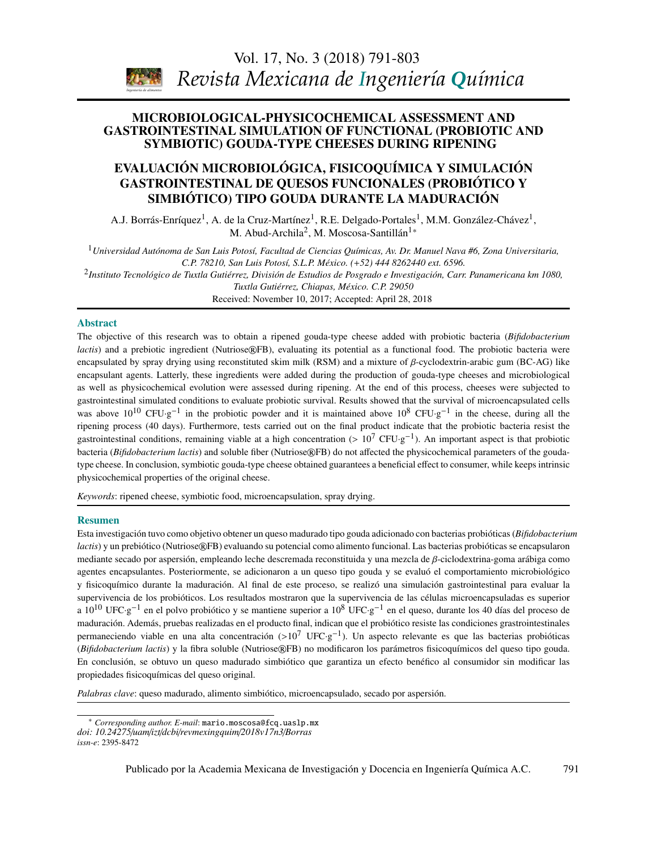Vol. 17, No. 3 (2018) [791](#page-0-0)[-803](#page-8-0) *Revista Mexicana de Ingeniería Química*

# <span id="page-0-0"></span>MICROBIOLOGICAL-PHYSICOCHEMICAL ASSESSMENT AND **SYMBIOTIC) GOUDA-TYPE CHEESES DURING RIPENING** GASTROINTESTINAL SIMULATION OF FUNCTIONAL (PROBIOTIC AND

# GASTROINTESTINAL DE QUESOS FUNCIONALES (PROBIÓTICO Y SIMBIÓTICO) TIPO GOUDA DURANTE LA MADURACIÓN EVALUACIÓN MICROBIOLÓGICA, FISICOQUÍMICA Y SIMULACIÓN

A.J. Borrás-Enríquez<sup>1</sup>, A. de la Cruz-Martínez<sup>1</sup>, R.E. Delgado-Portales<sup>1</sup>, M.M. González-Chávez<sup>1</sup>, M. Abud-Archila<sup>2</sup>, M. Moscosa-Santillán<sup>1</sup>\*

*Biotecnología / Biotechnology*  <sup>1</sup>*Universidad Autónoma de San Luis Potosí, Facultad de Ciencias Químicas, Av. Dr. Manuel Nava #6, Zona Universitaria, C.P. 78210, San Luis Potosí, S.L.P. México. (*+*52) 444 8262440 ext. 6596.*

 $^2$ Instituto Tecnológico de Tuxtla Gutiérrez, División de Estudios de Posgrado e Investigación, Carr. Panamericana km 1080, *Tuxtla Gutiérrez, Chiapas, México. C.P. 29050*

ranna Santerres, Simples, Internet SITESSEE<br>Received: November 10, 2017; Accepted: April 28, 2018

#### Abstract

*Ingeniería de alimentos* 

and sediments) The objective of this research was to obtain a ripened gouda-type cheese added with probiotic bacteria (*Bifidobacterium* lactis) and a prebiotic ingredient (Nutriose®FB), evaluating its potential as a functional food. The probiotic bacteria were encapsulated by spray drying using reconstituted skim milk (RSM) and a mixture of β-cyclodextrin-arabic gum (BC-AG) like encapsulant agents. Latterly, these ingredients were added during the production of gouda-type cheeses and microbiological der the as proported and a result of *Biffigory Conditions* to accept the conditions of *Biffigory infantis in the conditions* to evaluate probiotic survival. Results showed that the survival of microencapsulated cells was above 10<sup>10</sup> CFU·g<sup>-1</sup> in the probiotic powder and it is maintained above 10<sup>8</sup> CFU·g<sup>-1</sup> in the cheese, during all the *Espinosa*  ripening process (40 days). Furthermore, tests carried out on the final product indicate that the probiotic bacteria resist the gastrointestinal conditions, remaining viable at a high concentration  $(>10^7 \text{ CFU} \cdot g^{-1})$ . An important aspect is that probiotic<br>besterie (Bif debesterium legtic) and soluble fiber (Nutriges@EP) do not effected the physi type cheese. In conclusion, symbiotic gouda-type cheese obtained guarantees a beneficial effect to consumer, while keeps intrinsic physicochemical properties of the original cheese. as well as physicochemical evolution were assessed during ripening. At the end of this process, cheeses were subjected to bacteria (*Bifidobacterium lactis*) and soluble fiber (Nutriose®FB) do not affected the physicochemical parameters of the gouda-

Keywords: ripened cheese, symbiotic food, microencapsulation, spray drying.

#### Resumen

*lactis*) y un prebiótico (Nutriose®FB) evaluando su potencial como alimento funcional. Las bacterias probióticas se encapsularon mediante secado por aspersión, empleando leche descremada reconstituida y una mezcla de β-ciclodextrina-goma arábiga como agentes encapsulantes. Posteriormente, se adicionaron a un queso tipo gouda y se evaluó el comportamiento microbiológico y fisicoquímico durante la maduración. Al final de este proceso, se realizó una simulación gastrointestinal para evaluar la *J.R. Medina, R.L. Romero y G.A. Pérez* a 10<sup>10</sup> UFC·g −1 en el polvo probiótico y se mantiene superior a 10<sup>8</sup> UFC·g −1 en el queso, durante los 40 días del proceso de Esta investigación tuvo como objetivo obtener un queso madurado tipo gouda adicionado con bacterias probióticas (*Bifidobacterium* supervivencia de los probióticos. Los resultados mostraron que la supervivencia de las células microencapsuladas es superior maduración. Además, pruebas realizadas en el producto final, indican que el probiótico resiste las condiciones grastrointestinales permaneciendo viable en una alta concentración (>10<sup>7</sup> UFC·g<sup>-1</sup>). Un aspecto relevante es que las bacterias probióticas  $P_{\text{eff}}(t)$  y la fibre coluble (Nutrigge®EP) no modificarso las parámetras ficiocauímicas del queso (*Bifidobacterium lactis*) y la fibra soluble (Nutriose®FB) no modificaron los parámetros fisicoquímicos del queso tipo gouda. En conclusión, se obtuvo un queso madurado simbiótico que garantiza un efecto benéfico al consumidor sin modificar las propiedades fisicoquímicas del queso original.

*Palabras clave*: queso madurado, alimento simbiótico, microencapsulado, secado por aspersión.

Publicado por la Academia Mexicana de Investigación y Docencia en Ingeniería Química A.C. 791

<span id="page-0-1"></span><sup>\*</sup> *Corresponding author. E-mail*: mario.moscosa@fcq.uaslp.mx *doi: 10.24275*/*uam*/*izt*/*dcbi*/*revmexingquim*/*2018v17n3*/*Borras issn-e*: 2395-8472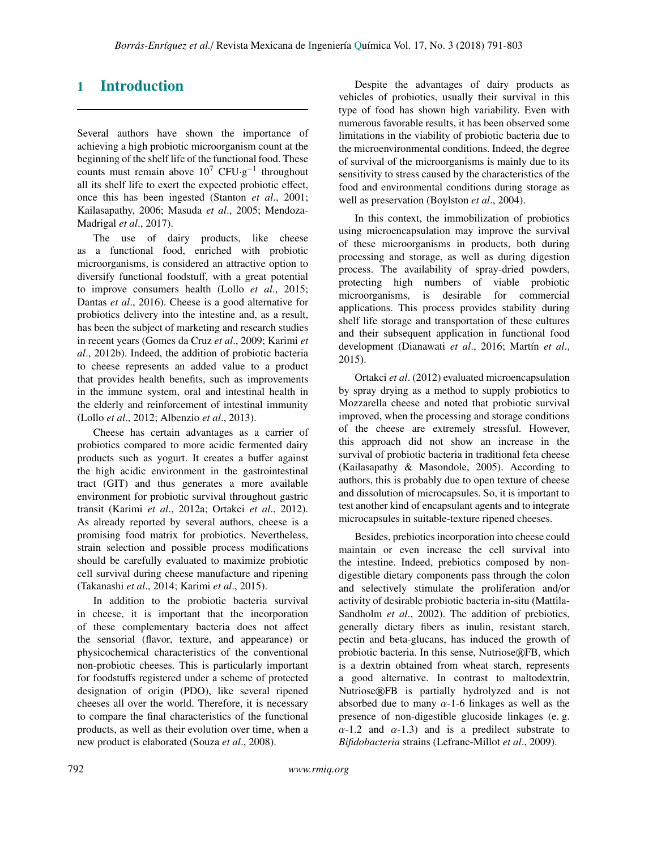# 1 Introduction

Several authors have shown the importance of achieving a high probiotic microorganism count at the beginning of the shelf life of the functional food. These counts must remain above  $10^7$  CFU·g<sup>-1</sup> throughout all its shelf life to exert the expected probiotic effect, once this has been ingested (Stanton *et al*., 2001; Kailasapathy, 2006; Masuda *et al*., 2005; Mendoza-Madrigal *et al*., 2017).

The use of dairy products, like cheese as a functional food, enriched with probiotic microorganisms, is considered an attractive option to diversify functional foodstuff, with a great potential to improve consumers health (Lollo *et al*., 2015; Dantas *et al*., 2016). Cheese is a good alternative for probiotics delivery into the intestine and, as a result, has been the subject of marketing and research studies in recent years (Gomes da Cruz *et al*., 2009; Karimi *et al*., 2012b). Indeed, the addition of probiotic bacteria to cheese represents an added value to a product that provides health benefits, such as improvements in the immune system, oral and intestinal health in the elderly and reinforcement of intestinal immunity (Lollo *et al*., 2012; Albenzio *et al*., 2013).

Cheese has certain advantages as a carrier of probiotics compared to more acidic fermented dairy products such as yogurt. It creates a buffer against the high acidic environment in the gastrointestinal tract (GIT) and thus generates a more available environment for probiotic survival throughout gastric transit (Karimi *et al*., 2012a; Ortakci *et al*., 2012). As already reported by several authors, cheese is a promising food matrix for probiotics. Nevertheless, strain selection and possible process modifications should be carefully evaluated to maximize probiotic cell survival during cheese manufacture and ripening (Takanashi *et al*., 2014; Karimi *et al*., 2015).

In addition to the probiotic bacteria survival in cheese, it is important that the incorporation of these complementary bacteria does not affect the sensorial (flavor, texture, and appearance) or physicochemical characteristics of the conventional non-probiotic cheeses. This is particularly important for foodstuffs registered under a scheme of protected designation of origin (PDO), like several ripened cheeses all over the world. Therefore, it is necessary to compare the final characteristics of the functional products, as well as their evolution over time, when a new product is elaborated (Souza *et al*., 2008).

Despite the advantages of dairy products as vehicles of probiotics, usually their survival in this type of food has shown high variability. Even with numerous favorable results, it has been observed some limitations in the viability of probiotic bacteria due to the microenvironmental conditions. Indeed, the degree of survival of the microorganisms is mainly due to its sensitivity to stress caused by the characteristics of the food and environmental conditions during storage as well as preservation (Boylston *et al*., 2004).

In this context, the immobilization of probiotics using microencapsulation may improve the survival of these microorganisms in products, both during processing and storage, as well as during digestion process. The availability of spray-dried powders, protecting high numbers of viable probiotic microorganisms, is desirable for commercial applications. This process provides stability during shelf life storage and transportation of these cultures and their subsequent application in functional food development (Dianawati *et al*., 2016; Martín *et al*., 2015).

Ortakci *et al*. (2012) evaluated microencapsulation by spray drying as a method to supply probiotics to Mozzarella cheese and noted that probiotic survival improved, when the processing and storage conditions of the cheese are extremely stressful. However, this approach did not show an increase in the survival of probiotic bacteria in traditional feta cheese (Kailasapathy & Masondole, 2005). According to authors, this is probably due to open texture of cheese and dissolution of microcapsules. So, it is important to test another kind of encapsulant agents and to integrate microcapsules in suitable-texture ripened cheeses.

Besides, prebiotics incorporation into cheese could maintain or even increase the cell survival into the intestine. Indeed, prebiotics composed by nondigestible dietary components pass through the colon and selectively stimulate the proliferation and/or activity of desirable probiotic bacteria in-situ (Mattila-Sandholm *et al*., 2002). The addition of prebiotics, generally dietary fibers as inulin, resistant starch, pectin and beta-glucans, has induced the growth of probiotic bacteria. In this sense, Nutriose®FB, which is a dextrin obtained from wheat starch, represents a good alternative. In contrast to maltodextrin, Nutriose®FB is partially hydrolyzed and is not absorbed due to many  $\alpha$ -1-6 linkages as well as the presence of non-digestible glucoside linkages (e. g.  $\alpha$ -1.2 and  $\alpha$ -1.3) and is a predilect substrate to *Bifidobacteria* strains (Lefranc-Millot *et al*., 2009).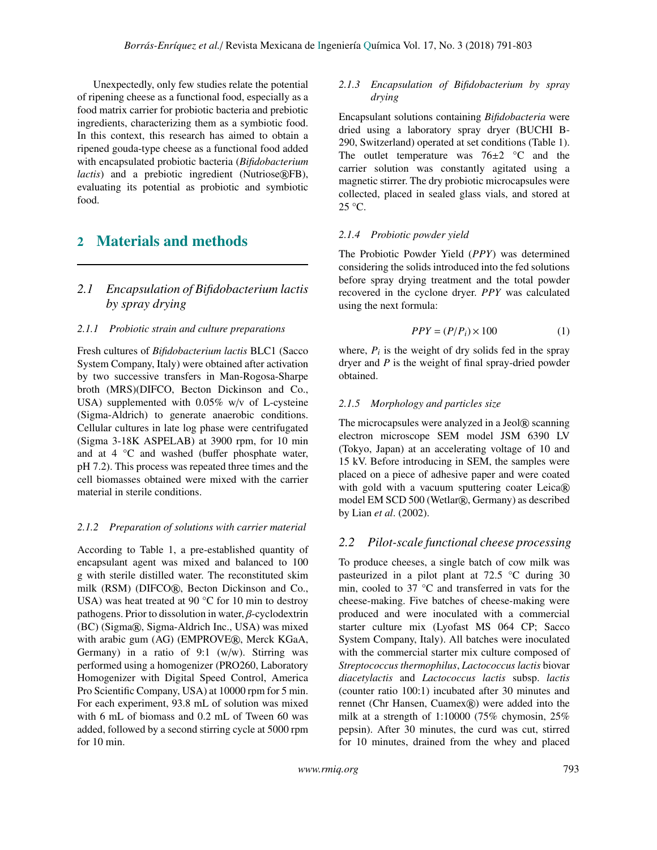Unexpectedly, only few studies relate the potential of ripening cheese as a functional food, especially as a food matrix carrier for probiotic bacteria and prebiotic ingredients, characterizing them as a symbiotic food. In this context, this research has aimed to obtain a ripened gouda-type cheese as a functional food added with encapsulated probiotic bacteria (*Bifidobacterium lactis*) and a prebiotic ingredient (Nutriose®FB), evaluating its potential as probiotic and symbiotic food.

# 2 Materials and methods

## *2.1 Encapsulation of Bifidobacterium lactis by spray drying*

### *2.1.1 Probiotic strain and culture preparations*

Fresh cultures of *Bifidobacterium lactis* BLC1 (Sacco System Company, Italy) were obtained after activation by two successive transfers in Man-Rogosa-Sharpe broth (MRS)(DIFCO, Becton Dickinson and Co., USA) supplemented with 0.05% w/v of L-cysteine (Sigma-Aldrich) to generate anaerobic conditions. Cellular cultures in late log phase were centrifugated (Sigma 3-18K ASPELAB) at 3900 rpm, for 10 min and at 4 °C and washed (buffer phosphate water, pH 7.2). This process was repeated three times and the cell biomasses obtained were mixed with the carrier material in sterile conditions.

### *2.1.2 Preparation of solutions with carrier material*

According to Table 1, a pre-established quantity of encapsulant agent was mixed and balanced to 100 g with sterile distilled water. The reconstituted skim milk (RSM) (DIFCO®, Becton Dickinson and Co., USA) was heat treated at 90 °C for 10 min to destroy pathogens. Prior to dissolution in water, β-cyclodextrin (BC) (Sigma®, Sigma-Aldrich Inc., USA) was mixed with arabic gum (AG) (EMPROVE®, Merck KGaA, Germany) in a ratio of 9:1 (w/w). Stirring was performed using a homogenizer (PRO260, Laboratory Homogenizer with Digital Speed Control, America Pro Scientific Company, USA) at 10000 rpm for 5 min. For each experiment, 93.8 mL of solution was mixed with 6 mL of biomass and 0.2 mL of Tween 60 was added, followed by a second stirring cycle at 5000 rpm for 10 min.

#### *2.1.3 Encapsulation of Bifidobacterium by spray drying*

Encapsulant solutions containing *Bifidobacteria* were dried using a laboratory spray dryer (BUCHI B-290, Switzerland) operated at set conditions (Table 1). The outlet temperature was  $76\pm2$  °C and the carrier solution was constantly agitated using a magnetic stirrer. The dry probiotic microcapsules were collected, placed in sealed glass vials, and stored at 25 °C.

### *2.1.4 Probiotic powder yield*

The Probiotic Powder Yield (*PPY*) was determined considering the solids introduced into the fed solutions before spray drying treatment and the total powder recovered in the cyclone dryer. *PPY* was calculated using the next formula:

$$
PPY = (P/P_i) \times 100\tag{1}
$$

where,  $P_i$  is the weight of dry solids fed in the spray dryer and *P* is the weight of final spray-dried powder obtained.

### *2.1.5 Morphology and particles size*

The microcapsules were analyzed in a Jeol® scanning electron microscope SEM model JSM 6390 LV (Tokyo, Japan) at an accelerating voltage of 10 and 15 kV. Before introducing in SEM, the samples were placed on a piece of adhesive paper and were coated with gold with a vacuum sputtering coater  $Leica(R)$ model EM SCD 500 (Wetlar®, Germany) as described by Lian *et al*. (2002).

## *2.2 Pilot-scale functional cheese processing*

To produce cheeses, a single batch of cow milk was pasteurized in a pilot plant at 72.5 °C during 30 min, cooled to 37 °C and transferred in vats for the cheese-making. Five batches of cheese-making were produced and were inoculated with a commercial starter culture mix (Lyofast MS 064 CP; Sacco System Company, Italy). All batches were inoculated with the commercial starter mix culture composed of *Streptococcus thermophilus*, *Lactococcus lactis* biovar *diacetylactis* and *Lactococcus lactis* subsp. *lactis* (counter ratio 100:1) incubated after 30 minutes and rennet (Chr Hansen, Cuamex®) were added into the milk at a strength of 1:10000 (75% chymosin, 25% pepsin). After 30 minutes, the curd was cut, stirred for 10 minutes, drained from the whey and placed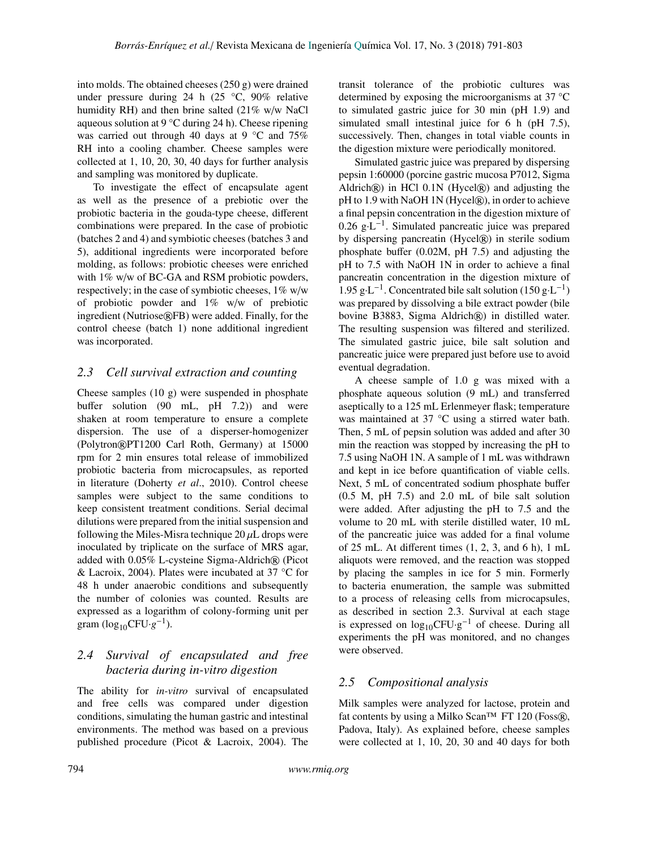into molds. The obtained cheeses (250 g) were drained under pressure during 24 h (25 °C, 90% relative humidity RH) and then brine salted (21% w/w NaCl aqueous solution at 9 °C during 24 h). Cheese ripening was carried out through 40 days at 9 °C and 75% RH into a cooling chamber. Cheese samples were collected at 1, 10, 20, 30, 40 days for further analysis and sampling was monitored by duplicate.

To investigate the effect of encapsulate agent as well as the presence of a prebiotic over the probiotic bacteria in the gouda-type cheese, different combinations were prepared. In the case of probiotic (batches 2 and 4) and symbiotic cheeses (batches 3 and 5), additional ingredients were incorporated before molding, as follows: probiotic cheeses were enriched with 1% w/w of BC-GA and RSM probiotic powders, respectively; in the case of symbiotic cheeses, 1% w/w of probiotic powder and 1% w/w of prebiotic ingredient (Nutriose®FB) were added. Finally, for the control cheese (batch 1) none additional ingredient was incorporated.

### *2.3 Cell survival extraction and counting*

Cheese samples (10 g) were suspended in phosphate buffer solution (90 mL, pH 7.2)) and were shaken at room temperature to ensure a complete dispersion. The use of a disperser-homogenizer (Polytron®PT1200 Carl Roth, Germany) at 15000 rpm for 2 min ensures total release of immobilized probiotic bacteria from microcapsules, as reported in literature (Doherty *et al*., 2010). Control cheese samples were subject to the same conditions to keep consistent treatment conditions. Serial decimal dilutions were prepared from the initial suspension and following the Miles-Misra technique  $20 \mu L$  drops were inoculated by triplicate on the surface of MRS agar, added with 0.05% L-cysteine Sigma-Aldrich® (Picot & Lacroix, 2004). Plates were incubated at 37 °C for 48 h under anaerobic conditions and subsequently the number of colonies was counted. Results are expressed as a logarithm of colony-forming unit per gram (log<sub>10</sub>CFU· $g^{-1}$ ).

### *2.4 Survival of encapsulated and free bacteria during in-vitro digestion*

The ability for *in-vitro* survival of encapsulated and free cells was compared under digestion conditions, simulating the human gastric and intestinal environments. The method was based on a previous published procedure (Picot & Lacroix, 2004). The transit tolerance of the probiotic cultures was determined by exposing the microorganisms at 37 °C to simulated gastric juice for 30 min (pH 1.9) and simulated small intestinal juice for 6 h (pH 7.5), successively. Then, changes in total viable counts in the digestion mixture were periodically monitored.

Simulated gastric juice was prepared by dispersing pepsin 1:60000 (porcine gastric mucosa P7012, Sigma Aldrich $\mathcal{R}$ ) in HCl 0.1N (Hycel $\mathcal{R}$ ) and adjusting the pH to 1.9 with NaOH 1N (Hycel®), in order to achieve a final pepsin concentration in the digestion mixture of  $0.26$  g $\cdot$ L<sup>-1</sup>. Simulated pancreatic juice was prepared by dispersing pancreatin (Hycel®) in sterile sodium phosphate buffer (0.02M, pH 7.5) and adjusting the pH to 7.5 with NaOH 1N in order to achieve a final pancreatin concentration in the digestion mixture of  $1.95 \text{ g} \cdot \text{L}^{-1}$ . Concentrated bile salt solution (150 g $\cdot \text{L}^{-1}$ ) was prepared by dissolving a bile extract powder (bile bovine B3883, Sigma Aldrich®) in distilled water. The resulting suspension was filtered and sterilized. The simulated gastric juice, bile salt solution and pancreatic juice were prepared just before use to avoid eventual degradation.

A cheese sample of 1.0 g was mixed with a phosphate aqueous solution (9 mL) and transferred aseptically to a 125 mL Erlenmeyer flask; temperature was maintained at 37 °C using a stirred water bath. Then, 5 mL of pepsin solution was added and after 30 min the reaction was stopped by increasing the pH to 7.5 using NaOH 1N. A sample of 1 mL was withdrawn and kept in ice before quantification of viable cells. Next, 5 mL of concentrated sodium phosphate buffer (0.5 M, pH 7.5) and 2.0 mL of bile salt solution were added. After adjusting the pH to 7.5 and the volume to 20 mL with sterile distilled water, 10 mL of the pancreatic juice was added for a final volume of 25 mL. At different times (1, 2, 3, and 6 h), 1 mL aliquots were removed, and the reaction was stopped by placing the samples in ice for 5 min. Formerly to bacteria enumeration, the sample was submitted to a process of releasing cells from microcapsules, as described in section 2.3. Survival at each stage is expressed on  $log_{10}$ CFU·g<sup>-1</sup> of cheese. During all experiments the pH was monitored, and no changes were observed.

### *2.5 Compositional analysis*

Milk samples were analyzed for lactose, protein and fat contents by using a Milko Scan<sup>TM</sup> FT 120 (Foss®), Padova, Italy). As explained before, cheese samples were collected at 1, 10, 20, 30 and 40 days for both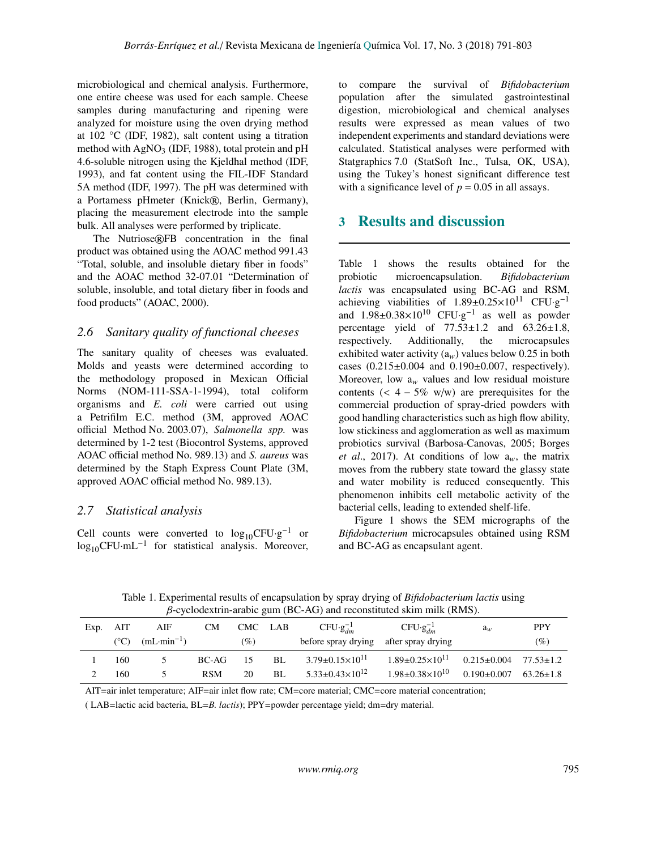microbiological and chemical analysis. Furthermore, one entire cheese was used for each sample. Cheese samples during manufacturing and ripening were analyzed for moisture using the oven drying method at 102 °C (IDF, 1982), salt content using a titration method with  $AgNO<sub>3</sub>$  (IDF, 1988), total protein and pH 4.6-soluble nitrogen using the Kjeldhal method (IDF, 1993), and fat content using the FIL-IDF Standard 5A method (IDF, 1997). The pH was determined with a Portamess pHmeter (Knick®, Berlin, Germany), placing the measurement electrode into the sample bulk. All analyses were performed by triplicate.

The Nutriose®FB concentration in the final product was obtained using the AOAC method 991.43 "Total, soluble, and insoluble dietary fiber in foods" and the AOAC method 32-07.01 "Determination of soluble, insoluble, and total dietary fiber in foods and food products" (AOAC, 2000).

### *2.6 Sanitary quality of functional cheeses*

The sanitary quality of cheeses was evaluated. Molds and yeasts were determined according to the methodology proposed in Mexican Official Norms (NOM-111-SSA-1-1994), total coliform organisms and *E. coli* were carried out using a Petrifilm E.C. method (3M, approved AOAC official Method No. 2003.07), *Salmonella spp.* was determined by 1-2 test (Biocontrol Systems, approved AOAC official method No. 989.13) and *S. aureus* was determined by the Staph Express Count Plate (3M, approved AOAC official method No. 989.13).

#### *2.7 Statistical analysis*

Cell counts were converted to  $log_{10}$ CFU·g<sup>-1</sup> or  $log_{10}$ CFU·mL<sup>-1</sup> for statistical analysis. Moreover, to compare the survival of *Bifidobacterium* population after the simulated gastrointestinal digestion, microbiological and chemical analyses results were expressed as mean values of two independent experiments and standard deviations were calculated. Statistical analyses were performed with Statgraphics 7.0 (StatSoft Inc., Tulsa, OK, USA), using the Tukey's honest significant difference test with a significance level of  $p = 0.05$  in all assays.

## 3 Results and discussion

Table 1 shows the results obtained for the probiotic microencapsulation. *Bifidobacterium lactis* was encapsulated using BC-AG and RSM, achieving viabilities of  $1.89 \pm 0.25 \times 10^{11}$  CFU·g<sup>-1</sup> and  $1.98 \pm 0.38 \times 10^{10}$  CFU·g<sup>-1</sup> as well as powder percentage yield of  $77.53 \pm 1.2$  and  $63.26 \pm 1.8$ , respectively. Additionally, the microcapsules exhibited water activity  $(a_w)$  values below 0.25 in both cases (0.215±0.004 and 0.190±0.007, respectively). Moreover, low  $a_w$  values and low residual moisture contents  $(< 4 - 5\%$  w/w) are prerequisites for the commercial production of spray-dried powders with good handling characteristics such as high flow ability, low stickiness and agglomeration as well as maximum probiotics survival (Barbosa-Canovas, 2005; Borges *et al.*, 2017). At conditions of low  $a_w$ , the matrix moves from the rubbery state toward the glassy state and water mobility is reduced consequently. This phenomenon inhibits cell metabolic activity of the bacterial cells, leading to extended shelf-life.

Figure 1 shows the SEM micrographs of the *Bifidobacterium* microcapsules obtained using RSM and BC-AG as encapsulant agent.

Table 1. Experimental results of encapsulation by spray drying of *Bifidobacterium lactis* using β-cyclodextrin-arabic gum (BC-AG) and reconstituted skim milk (RMS).

| Exp. | AIT             | AIF             | CМ         | CMC LAB |    | $CFU·gdm-1$                    | $CFU·g_{dm}^{-1}$              | $a_w$                             | <b>PPY</b>    |
|------|-----------------|-----------------|------------|---------|----|--------------------------------|--------------------------------|-----------------------------------|---------------|
|      | $({}^{\circ}C)$ | $(mL·min^{-1})$ |            | $(\%)$  |    | before spray drying            | after spray drying             |                                   | (%)           |
|      | 160             |                 | BC-AG      | -15     | BL | $3.79 \pm 0.15 \times 10^{11}$ | $1.89 \pm 0.25 \times 10^{11}$ | $0.215 \pm 0.004$ $77.53 \pm 1.2$ |               |
|      | 160             |                 | <b>RSM</b> | 20      | BL | $5.33 \pm 0.43 \times 10^{12}$ | $1.98 \pm 0.38 \times 10^{10}$ | $0.190 \pm 0.007$                 | $63.26 + 1.8$ |

AIT=air inlet temperature; AIF=air inlet flow rate; CM=core material; CMC=core material concentration;

( LAB=lactic acid bacteria, BL=*B. lactis*); PPY=powder percentage yield; dm=dry material.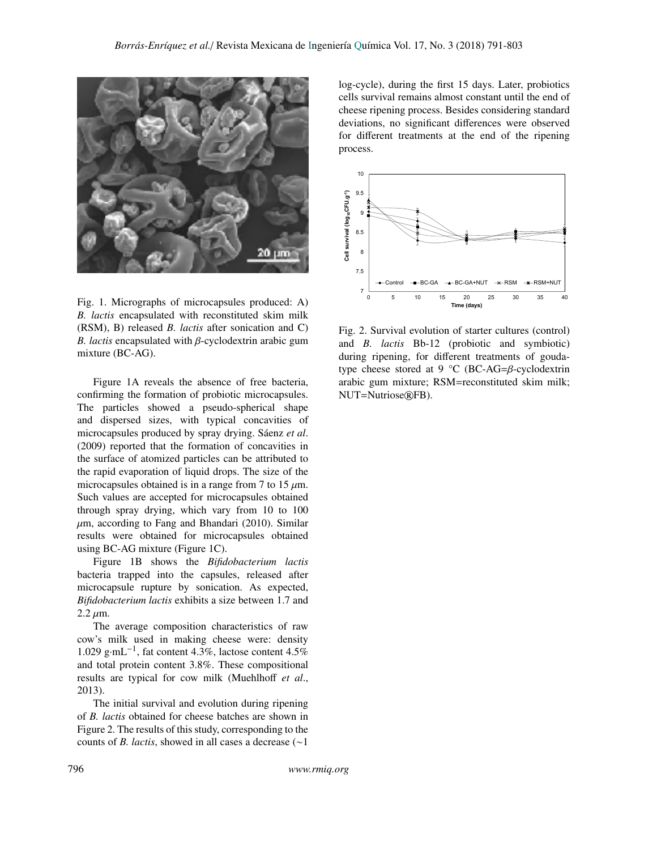

Fig. 1. Micrographs of microcapsules produced: A) *B. lactis* encapsulated with reconstituted skim milk (RSM), B) released *B. lactis* after sonication and C) *B. lactis* encapsulated with β-cyclodextrin arabic gum mixture (BC-AG).

Figure 1A reveals the absence of free bacteria, confirming the formation of probiotic microcapsules. The particles showed a pseudo-spherical shape and dispersed sizes, with typical concavities of microcapsules produced by spray drying. Sáenz *et al*. (2009) reported that the formation of concavities in the surface of atomized particles can be attributed to the rapid evaporation of liquid drops. The size of the microcapsules obtained is in a range from 7 to 15  $\mu$ m. Such values are accepted for microcapsules obtained through spray drying, which vary from 10 to 100  $\mu$ m, according to Fang and Bhandari (2010). Similar results were obtained for microcapsules obtained using BC-AG mixture (Figure 1C).

Figure 1B shows the *Bifidobacterium lactis* bacteria trapped into the capsules, released after microcapsule rupture by sonication. As expected, *Bifidobacterium lactis* exhibits a size between 1.7 and  $2.2 \mu m$ .

The average composition characteristics of raw cow's milk used in making cheese were: density 1.029 g·mL−<sup>1</sup> , fat content 4.3%, lactose content 4.5% and total protein content 3.8%. These compositional results are typical for cow milk (Muehlhoff *et al*., 2013).

The initial survival and evolution during ripening of *B. lactis* obtained for cheese batches are shown in Figure 2. The results of this study, corresponding to the counts of *B. lactis*, showed in all cases a decrease (∼1 log-cycle), during the first 15 days. Later, probiotics cells survival remains almost constant until the end of cheese ripening process. Besides considering standard deviations, no significant differences were observed for different treatments at the end of the ripening process.



Fig. 2. Survival evolution of starter cultures (control) and *B. lactis* Bb-12 (probiotic and symbiotic) during ripening, for different treatments of goudatype cheese stored at 9 °C (BC-AG= $\beta$ -cyclodextrin arabic gum mixture; RSM=reconstituted skim milk; NUT=Nutriose®FB).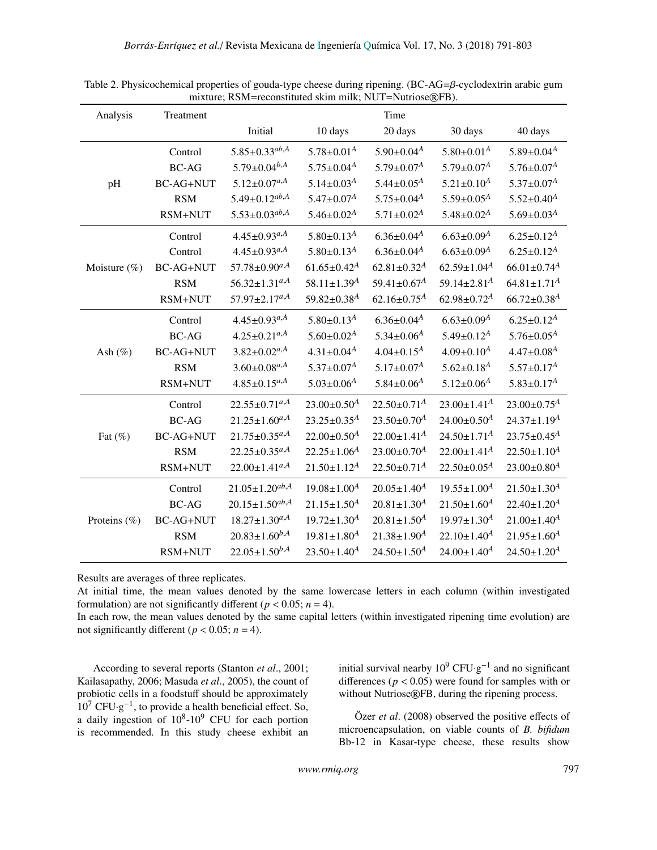| Analysis        | Treatment        | Time                            |                               |                               |                               |                               |  |
|-----------------|------------------|---------------------------------|-------------------------------|-------------------------------|-------------------------------|-------------------------------|--|
|                 |                  | Initial                         | 10 days                       | 20 days                       | 30 days                       | 40 days                       |  |
|                 | Control          | $5.85 \pm 0.33^{ab,A}$          | $5.78 \pm 0.01^{\text{A}}$    | $5.90 \pm 0.04^{\text{A}}$    | $5.80 \pm 0.01^A$             | $5.89 \pm 0.04^{\text{A}}$    |  |
|                 | <b>BC-AG</b>     | $5.79 \pm 0.04^{b,A}$           | $5.75 \pm 0.04^A$             | $5.79 \pm 0.07^A$             | $5.79 \pm 0.07^A$             | $5.76 \pm 0.07^A$             |  |
| pH              | <b>BC-AG+NUT</b> | $5.12 \pm 0.07^{a,A}$           | $5.14 \pm 0.03^A$             | $5.44 \pm 0.05^A$             | $5.21 \pm 0.10^4$             | $5.37 \pm 0.07^A$             |  |
|                 | <b>RSM</b>       | $5.49 \pm 0.12^{ab,A}$          | $5.47{\pm}0.07^A$             | $5.75 \pm 0.04^{A}$           | $5.59 \pm 0.05^A$             | $5.52 \pm 0.40$ <sup>A</sup>  |  |
|                 | $RSM+NUT$        | $5.53 \pm 0.03^{ab,A}$          | $5.46 \pm 0.02^A$             | $5.71 \pm 0.02^A$             | $5.48 \pm 0.02^A$             | $5.69 \pm 0.03^A$             |  |
|                 | Control          | $4.45 \pm 0.93^{a,A}$           | $5.80 \pm 0.13^A$             | $6.36 \pm 0.04^A$             | $6.63 \pm 0.09$ <sup>A</sup>  | $6.25 \pm 0.12^A$             |  |
|                 | Control          | $4.45 \pm 0.93^{a,A}$           | $5.80 \pm 0.13^{\text{A}}$    | $6.36 \pm 0.04^A$             | $6.63 \pm 0.09^A$             | $6.25 \pm 0.12^A$             |  |
| Moisture $(\%)$ | <b>BC-AG+NUT</b> | $57.78 \pm 0.90$ <sup>a,A</sup> | $61.65 \pm 0.42$ <sup>A</sup> | $62.81 \pm 0.32$ <sup>A</sup> | $62.59 \pm 1.04$ <sup>A</sup> | $66.01 \pm 0.74$ <sup>A</sup> |  |
|                 | <b>RSM</b>       | $56.32 \pm 1.31^{a,A}$          | 58.11±1.39 <sup>A</sup>       | 59.41±0.67 <sup>A</sup>       | 59.14 $\pm$ 2.81 <sup>A</sup> | $64.81 \pm 1.71^A$            |  |
|                 | RSM+NUT          | $57.97 \pm 2.17^{a,A}$          | $59.82 \pm 0.38$ <sup>A</sup> | $62.16 \pm 0.75^A$            | $62.98 \pm 0.72^A$            | $66.72 \pm 0.38$ <sup>A</sup> |  |
|                 | Control          | $4.45 \pm 0.93^{a,A}$           | $5.80 \pm 0.13^{\text{A}}$    | $6.36 \pm 0.04^{A}$           | $6.63 \pm 0.09^A$             | $6.25 \pm 0.12^A$             |  |
|                 | <b>BC-AG</b>     | $4.25 \pm 0.21^{a,A}$           | $5.60 \pm 0.02^A$             | $5.34 \pm 0.06^A$             | $5.49 \pm 0.12^A$             | $5.76 \pm 0.05^A$             |  |
| Ash $(\%)$      | <b>BC-AG+NUT</b> | $3.82 \pm 0.02$ <sup>a,A</sup>  | $4.31 \pm 0.04^A$             | $4.04 \pm 0.15^A$             | $4.09 \pm 0.10^4$             | $4.47 \pm 0.08$ <sup>A</sup>  |  |
|                 | <b>RSM</b>       | $3.60 \pm 0.08$ <sup>a,A</sup>  | $5.37 \pm 0.07^A$             | $5.17 \pm 0.07^A$             | $5.62 \pm 0.18$ <sup>A</sup>  | $5.57 \pm 0.17^A$             |  |
|                 | RSM+NUT          | $4.85 \pm 0.15^{a,A}$           | $5.03 \pm 0.06$ <sup>A</sup>  | $5.84 \pm 0.06^A$             | $5.12 \pm 0.06^A$             | $5.83 \pm 0.17^A$             |  |
|                 | Control          | $22.55 \pm 0.71^{a,A}$          | $23.00 \pm 0.50^4$            | $22.50 \pm 0.71^A$            | $23.00 \pm 1.41^A$            | $23.00 \pm 0.75^A$            |  |
|                 | $BC-AG$          | $21.25 \pm 1.60^{a,A}$          | $23.25 \pm 0.35^A$            | $23.50 \pm 0.70^A$            | $24.00 \pm 0.50^4$            | $24.37 \pm 1.19^A$            |  |
| Fat $(\%)$      | <b>BC-AG+NUT</b> | $21.75 \pm 0.35^{a,A}$          | $22.00 \pm 0.50^A$            | $22.00 \pm 1.41^A$            | $24.50 \pm 1.71^A$            | $23.75 \pm 0.45^A$            |  |
|                 | <b>RSM</b>       | $22.25 \pm 0.35^{a,A}$          | $22.25 \pm 1.06^A$            | $23.00 \pm 0.70^A$            | $22.00 \pm 1.41^A$            | $22.50 \pm 1.10^A$            |  |
|                 | RSM+NUT          | $22.00 \pm 1.41^{a,A}$          | $21.50 \pm 1.12^A$            | $22.50 \pm 0.71^A$            | $22.50 \pm 0.05^A$            | $23.00 \pm 0.80^A$            |  |
|                 | Control          | $21.05 \pm 1.20^{ab,A}$         | $19.08 \pm 1.00^A$            | $20.05 \pm 1.40^4$            | $19.55 \pm 1.00^4$            | $21.50 \pm 1.30$ <sup>A</sup> |  |
|                 | $BC-AG$          | $20.15 \pm 1.50^{ab,A}$         | $21.15 \pm 1.50^A$            | $20.81 \pm 1.30$ <sup>A</sup> | $21.50 \pm 1.60$ <sup>A</sup> | $22.40 \pm 1.20^A$            |  |
| Proteins (%)    | <b>BC-AG+NUT</b> | $18.27 \pm 1.30^{a,A}$          | $19.72 \pm 1.30^{A}$          | $20.81 \pm 1.50^{A}$          | $19.97 \pm 1.30$ <sup>A</sup> | $21.00 \pm 1.40^A$            |  |
|                 | <b>RSM</b>       | $20.83 \pm 1.60^{b,A}$          | $19.81 \pm 1.80$ <sup>A</sup> | $21.38 \pm 1.90^A$            | $22.10 \pm 1.40^A$            | $21.95 \pm 1.60$ <sup>A</sup> |  |
|                 | RSM+NUT          | $22.05 \pm 1.50^{b,A}$          | $23.50 \pm 1.40^A$            | $24.50 \pm 1.50^A$            | $24.00 \pm 1.40^A$            | $24.50 \pm 1.20^A$            |  |

Table 2. Physicochemical properties of gouda-type cheese during ripening. (BC-AG=β-cyclodextrin arabic gum mixture; RSM=reconstituted skim milk; NUT=Nutriose®FB).

Results are averages of three replicates.

At initial time, the mean values denoted by the same lowercase letters in each column (within investigated formulation) are not significantly different ( $p < 0.05$ ;  $n = 4$ ).

In each row, the mean values denoted by the same capital letters (within investigated ripening time evolution) are not significantly different ( $p < 0.05$ ;  $n = 4$ ).

According to several reports (Stanton *et al*., 2001; Kailasapathy, 2006; Masuda *et al*., 2005), the count of probiotic cells in a foodstuff should be approximately  $10^7$  CFU·g<sup>-1</sup>, to provide a health beneficial effect. So, a daily ingestion of  $10^8$ - $10^9$  CFU for each portion is recommended. In this study cheese exhibit an

initial survival nearby  $10^9 \text{ CFU} \cdot \text{g}^{-1}$  and no significant differences ( $p < 0.05$ ) were found for samples with or without Nutriose®FB, during the ripening process.

Özer *et al*. (2008) observed the positive effects of microencapsulation, on viable counts of *B. bifidum* Bb-12 in Kasar-type cheese, these results show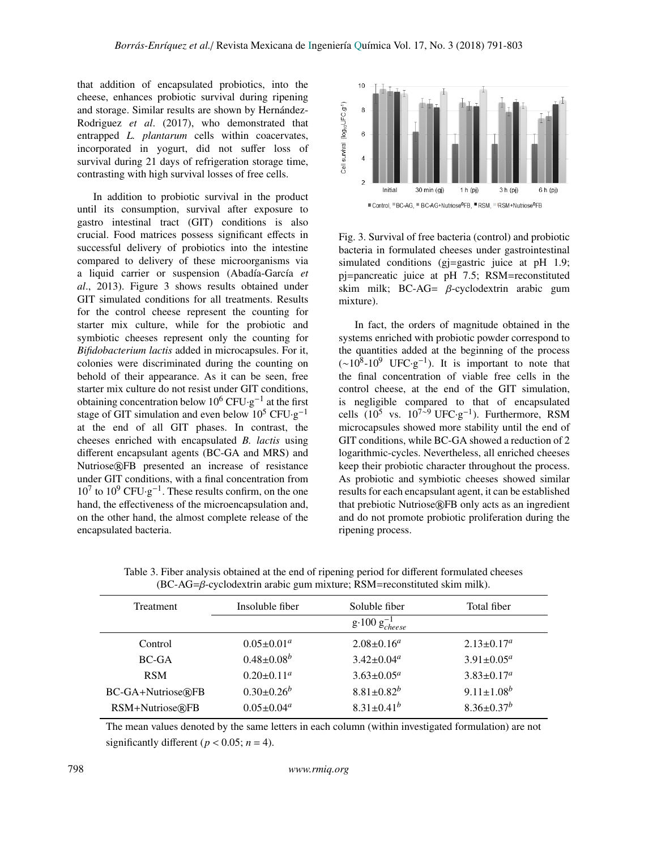that addition of encapsulated probiotics, into the cheese, enhances probiotic survival during ripening and storage. Similar results are shown by Hernández-Rodriguez *et al*. (2017), who demonstrated that entrapped *L. plantarum* cells within coacervates, incorporated in yogurt, did not suffer loss of survival during 21 days of refrigeration storage time, contrasting with high survival losses of free cells.

In addition to probiotic survival in the product until its consumption, survival after exposure to gastro intestinal tract (GIT) conditions is also crucial. Food matrices possess significant effects in successful delivery of probiotics into the intestine compared to delivery of these microorganisms via a liquid carrier or suspension (Abadía-García *et al*., 2013). Figure 3 shows results obtained under GIT simulated conditions for all treatments. Results for the control cheese represent the counting for starter mix culture, while for the probiotic and symbiotic cheeses represent only the counting for *Bifidobacterium lactis* added in microcapsules. For it, colonies were discriminated during the counting on behold of their appearance. As it can be seen, free starter mix culture do not resist under GIT conditions, obtaining concentration below  $10^6$  CFU⋅g<sup>-1</sup> at the first stage of GIT simulation and even below  $10^5$  CFU·g<sup>-1</sup> at the end of all GIT phases. In contrast, the cheeses enriched with encapsulated *B. lactis* using different encapsulant agents (BC-GA and MRS) and Nutriose®FB presented an increase of resistance under GIT conditions, with a final concentration from  $10^7$  to  $10^9$  CFU·g<sup>-1</sup>. These results confirm, on the one hand, the effectiveness of the microencapsulation and, on the other hand, the almost complete release of the encapsulated bacteria.



Fig. 3. Survival of free bacteria (control) and probiotic bacteria in formulated cheeses under gastrointestinal simulated conditions (gj=gastric juice at pH 1.9; pj=pancreatic juice at pH 7.5; RSM=reconstituted skim milk; BC-AG=  $\beta$ -cyclodextrin arabic gum mixture).

In fact, the orders of magnitude obtained in the systems enriched with probiotic powder correspond to the quantities added at the beginning of the process  $({\sim}10^8\t{-}10^9$  UFC·g<sup>-1</sup>). It is important to note that the final concentration of viable free cells in the control cheese, at the end of the GIT simulation, is negligible compared to that of encapsulated cells  $(10^5 \text{ vs. } 10^{7 \times 9} \text{ UFC} \cdot \text{g}^{-1})$ . Furthermore, RSM microcapsules showed more stability until the end of GIT conditions, while BC-GA showed a reduction of 2 logarithmic-cycles. Nevertheless, all enriched cheeses keep their probiotic character throughout the process. As probiotic and symbiotic cheeses showed similar results for each encapsulant agent, it can be established that prebiotic Nutriose®FB only acts as an ingredient and do not promote probiotic proliferation during the ripening process.

| Treatment         | Insoluble fiber   | Soluble fiber                 | Total fiber       |  |
|-------------------|-------------------|-------------------------------|-------------------|--|
|                   |                   | $g \cdot 100 g^{-1}_{cheese}$ |                   |  |
| Control           | $0.05 \pm 0.01^a$ | $2.08 \pm 0.16^a$             | $2.13 \pm 0.17^a$ |  |
| <b>BC-GA</b>      | $0.48 \pm 0.08^b$ | $3.42 \pm 0.04^a$             | $3.91 \pm 0.05^a$ |  |
| <b>RSM</b>        | $0.20 \pm 0.11^a$ | $3.63 \pm 0.05^a$             | $3.83 \pm 0.17^a$ |  |
| BC-GA+Nutriose®FB | $0.30 \pm 0.26^b$ | $8.81 \pm 0.82^b$             | $9.11 \pm 1.08^b$ |  |
| RSM+Nutriose®FB   | $0.05 \pm 0.04^a$ | $8.31 \pm 0.41^b$             | $8.36 \pm 0.37^b$ |  |

Table 3. Fiber analysis obtained at the end of ripening period for different formulated cheeses  $(BC-AG=\beta$ -cyclodextrin arabic gum mixture; RSM=reconstituted skim milk).

The mean values denoted by the same letters in each column (within investigated formulation) are not significantly different ( $p < 0.05$ ;  $n = 4$ ).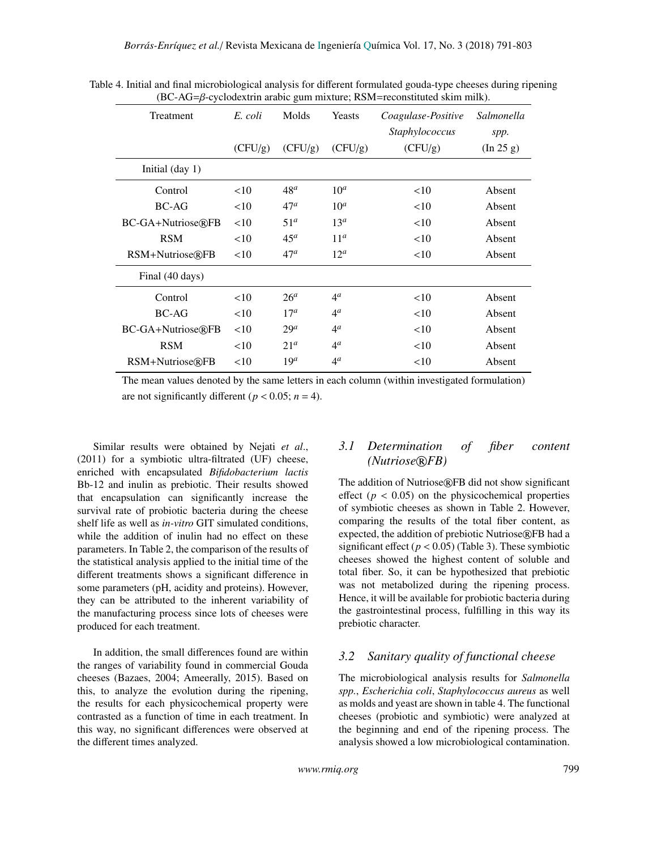| Treatment                | E. coli | Molds           | Yeasts             | Coagulase-Positive<br><i>Staphylococcus</i> | Salmonella<br>spp. |
|--------------------------|---------|-----------------|--------------------|---------------------------------------------|--------------------|
|                          | (CFU/g) | (CFU/g)         | (CFU/g)            | (CFU/g)                                     | (In 25 g)          |
| Initial $(\text{day 1})$ |         |                 |                    |                                             |                    |
| Control                  | <10     | $48^a$          | 10 <sup>a</sup>    | <10                                         | Absent             |
| <b>BC-AG</b>             | <10     | 47 <sup>a</sup> | 10 <sup>a</sup>    | <10                                         | Absent             |
| BC-GA+Nutriose®FB        | <10     | 51 <sup>a</sup> | 13 <sup>a</sup>    | <10                                         | Absent             |
| <b>RSM</b>               | <10     | 45 <sup>a</sup> | 11 <sup>a</sup>    | <10                                         | Absent             |
| RSM+Nutriose®FB          | <10     | 47 <sup>a</sup> | $12^a$             | <10                                         | Absent             |
| Final (40 days)          |         |                 |                    |                                             |                    |
| Control                  | <10     | 26 <sup>a</sup> | 4 <sup>a</sup>     | <10                                         | Absent             |
| <b>BC-AG</b>             | <10     | $17^a$          | $4^{\mathfrak{a}}$ | <10                                         | Absent             |
| BC-GA+Nutriose®FB        | <10     | $29^a$          | $4^{\mathfrak{a}}$ | <10                                         | Absent             |
| <b>RSM</b>               | <10     | 21 <sup>a</sup> | $4^{\mathfrak{a}}$ | <10                                         | Absent             |
| RSM+Nutriose®FB          | <10     | 19 <sup>a</sup> | $4^{\mathfrak{a}}$ | <10                                         | Absent             |

Table 4. Initial and final microbiological analysis for different formulated gouda-type cheeses during ripening (BC-AG=β-cyclodextrin arabic gum mixture; RSM=reconstituted skim milk).

The mean values denoted by the same letters in each column (within investigated formulation) are not significantly different ( $p < 0.05$ ;  $n = 4$ ).

Similar results were obtained by Nejati *et al*., (2011) for a symbiotic ultra-filtrated (UF) cheese, enriched with encapsulated *Bifidobacterium lactis* Bb-12 and inulin as prebiotic. Their results showed that encapsulation can significantly increase the survival rate of probiotic bacteria during the cheese shelf life as well as *in-vitro* GIT simulated conditions, while the addition of inulin had no effect on these parameters. In Table 2, the comparison of the results of the statistical analysis applied to the initial time of the different treatments shows a significant difference in some parameters (pH, acidity and proteins). However, they can be attributed to the inherent variability of the manufacturing process since lots of cheeses were produced for each treatment.

In addition, the small differences found are within the ranges of variability found in commercial Gouda cheeses (Bazaes, 2004; Ameerally, 2015). Based on this, to analyze the evolution during the ripening, the results for each physicochemical property were contrasted as a function of time in each treatment. In this way, no significant differences were observed at the different times analyzed.

### *3.1 Determination of fiber content (Nutriose*®*FB)*

The addition of Nutriose®FB did not show significant effect ( $p < 0.05$ ) on the physicochemical properties of symbiotic cheeses as shown in Table 2. However, comparing the results of the total fiber content, as expected, the addition of prebiotic Nutriose®FB had a significant effect ( $p < 0.05$ ) (Table 3). These symbiotic cheeses showed the highest content of soluble and total fiber. So, it can be hypothesized that prebiotic was not metabolized during the ripening process. Hence, it will be available for probiotic bacteria during the gastrointestinal process, fulfilling in this way its prebiotic character.

#### <span id="page-8-0"></span>*3.2 Sanitary quality of functional cheese*

The microbiological analysis results for *Salmonella spp.*, *Escherichia coli*, *Staphylococcus aureus* as well as molds and yeast are shown in table 4. The functional cheeses (probiotic and symbiotic) were analyzed at the beginning and end of the ripening process. The analysis showed a low microbiological contamination.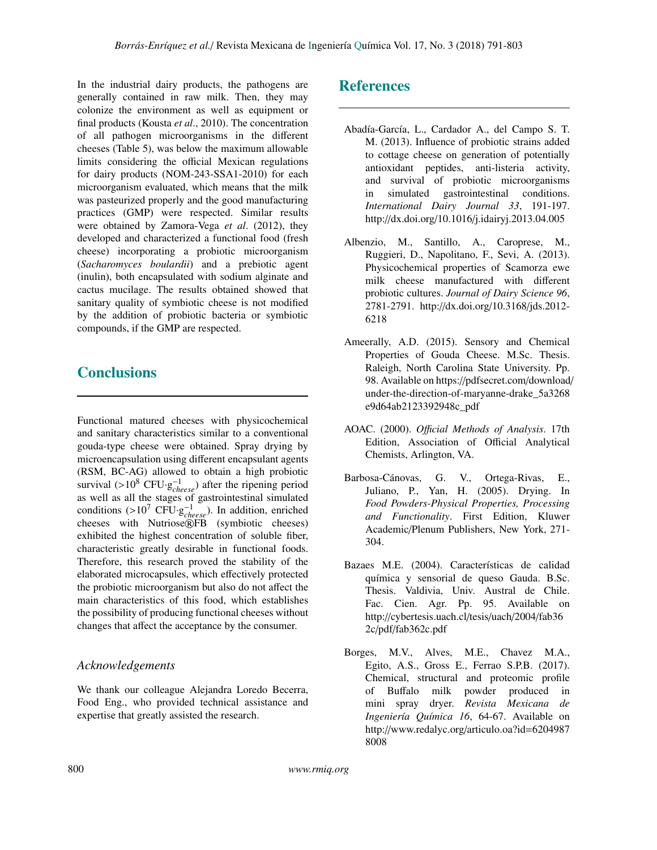In the industrial dairy products, the pathogens are generally contained in raw milk. Then, they may colonize the environment as well as equipment or final products (Kousta *et al*., 2010). The concentration of all pathogen microorganisms in the different cheeses (Table 5), was below the maximum allowable limits considering the official Mexican regulations for dairy products (NOM-243-SSA1-2010) for each microorganism evaluated, which means that the milk was pasteurized properly and the good manufacturing practices (GMP) were respected. Similar results were obtained by Zamora-Vega *et al*. (2012), they developed and characterized a functional food (fresh cheese) incorporating a probiotic microorganism (*Sacharomyces boulardii*) and a prebiotic agent (inulin), both encapsulated with sodium alginate and cactus mucilage. The results obtained showed that sanitary quality of symbiotic cheese is not modified by the addition of probiotic bacteria or symbiotic compounds, if the GMP are respected.

# **Conclusions**

Functional matured cheeses with physicochemical and sanitary characteristics similar to a conventional gouda-type cheese were obtained. Spray drying by microencapsulation using different encapsulant agents (RSM, BC-AG) allowed to obtain a high probiotic survival  $(>10^8 \text{ CFU} \cdot g_{cheese}^{-1})$  after the ripening period<br>as well as all the stages of gastrointestinal simulated as well as all the stages of gastrointestinal simulated conditions (>10<sup>7</sup> CFU·g<sup>-1</sup><sub>cheese</sub>). In addition, enriched<br>cheeses with Nutriose®EB (symbiotic cheeses) cheeses with Nutriose®FB (symbiotic cheeses) exhibited the highest concentration of soluble fiber, characteristic greatly desirable in functional foods. Therefore, this research proved the stability of the elaborated microcapsules, which effectively protected the probiotic microorganism but also do not affect the main characteristics of this food, which establishes the possibility of producing functional cheeses without changes that affect the acceptance by the consumer.

## *Acknowledgements*

We thank our colleague Alejandra Loredo Becerra, Food Eng., who provided technical assistance and expertise that greatly assisted the research.

## References

- Abadía-García, L., Cardador A., del Campo S. T. M. (2013). Influence of probiotic strains added to cottage cheese on generation of potentially antioxidant peptides, anti-listeria activity, and survival of probiotic microorganisms in simulated gastrointestinal conditions. *International Dairy Journal 33*, 191-197. http://dx.doi.org/10.1016/j.idairyj.2013.04.005
- Albenzio, M., Santillo, A., Caroprese, M., Ruggieri, D., Napolitano, F., Sevi, A. (2013). Physicochemical properties of Scamorza ewe milk cheese manufactured with different probiotic cultures. *Journal of Dairy Science 96*, 2781-2791. http://dx.doi.org/10.3168/jds.2012- 6218
- Ameerally, A.D. (2015). Sensory and Chemical Properties of Gouda Cheese. M.Sc. Thesis. Raleigh, North Carolina State University. Pp. 98. Available on https://pdfsecret.com/download/ under-the-direction-of-maryanne-drake\_5a3268 e9d64ab2123392948c\_pdf
- AOAC. (2000). *O*ffi*cial Methods of Analysis*. 17th Edition, Association of Official Analytical Chemists, Arlington, VA.
- Barbosa-Cánovas, G. V., Ortega-Rivas, E., Juliano, P., Yan, H. (2005). Drying. In *Food Powders-Physical Properties, Processing and Functionality*. First Edition, Kluwer Academic/Plenum Publishers, New York, 271- 304.
- Bazaes M.E. (2004). Características de calidad química y sensorial de queso Gauda. B.Sc. Thesis. Valdivia, Univ. Austral de Chile. Fac. Cien. Agr. Pp. 95. Available on http://cybertesis.uach.cl/tesis/uach/2004/fab36 2c/pdf/fab362c.pdf
- Borges, M.V., Alves, M.E., Chavez M.A., Egito, A.S., Gross E., Ferrao S.P.B. (2017). Chemical, structural and proteomic profile of Buffalo milk powder produced in mini spray dryer. *Revista Mexicana de Ingeniería Química 16*, 64-67. Available on http://www.redalyc.org/articulo.oa?id=6204987 8008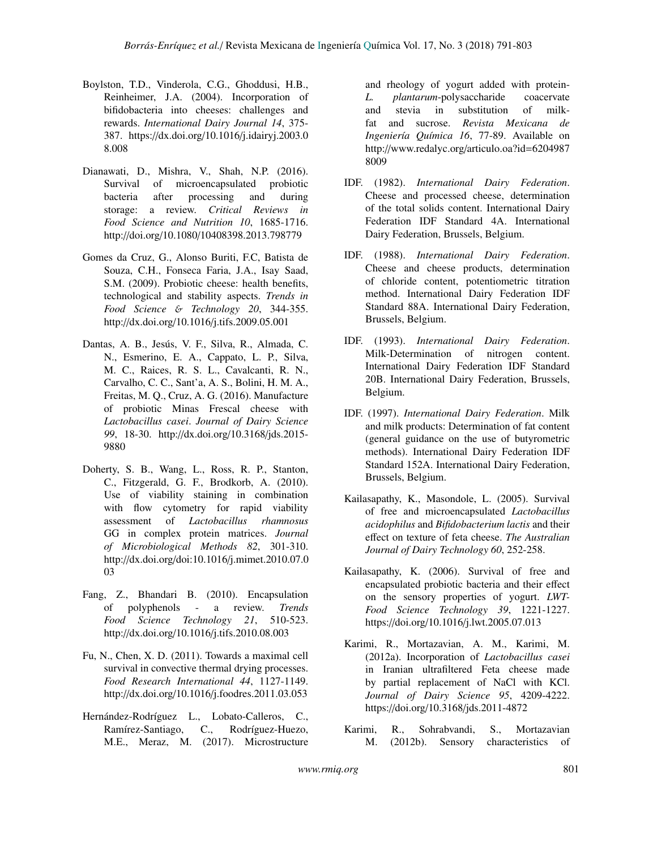- Boylston, T.D., Vinderola, C.G., Ghoddusi, H.B., Reinheimer, J.A. (2004). Incorporation of bifidobacteria into cheeses: challenges and rewards. *International Dairy Journal 14*, 375- 387. https://dx.doi.org/10.1016/j.idairyj.2003.0 8.008
- Dianawati, D., Mishra, V., Shah, N.P. (2016). Survival of microencapsulated probiotic bacteria after processing and during storage: a review. *Critical Reviews in Food Science and Nutrition 10*, 1685-1716. http://doi.org/10.1080/10408398.2013.798779
- Gomes da Cruz, G., Alonso Buriti, F.C, Batista de Souza, C.H., Fonseca Faria, J.A., Isay Saad, S.M. (2009). Probiotic cheese: health benefits, technological and stability aspects. *Trends in Food Science* & *Technology 20*, 344-355. http://dx.doi.org/10.1016/j.tifs.2009.05.001
- Dantas, A. B., Jesús, V. F., Silva, R., Almada, C. N., Esmerino, E. A., Cappato, L. P., Silva, M. C., Raices, R. S. L., Cavalcanti, R. N., Carvalho, C. C., Sant'a, A. S., Bolini, H. M. A., Freitas, M. Q., Cruz, A. G. (2016). Manufacture of probiotic Minas Frescal cheese with *Lactobacillus casei*. *Journal of Dairy Science 99*, 18-30. http://dx.doi.org/10.3168/jds.2015- 9880
- Doherty, S. B., Wang, L., Ross, R. P., Stanton, C., Fitzgerald, G. F., Brodkorb, A. (2010). Use of viability staining in combination with flow cytometry for rapid viability assessment of *Lactobacillus rhamnosus* GG in complex protein matrices. *Journal of Microbiological Methods 82*, 301-310. http://dx.doi.org/doi:10.1016/j.mimet.2010.07.0 03
- Fang, Z., Bhandari B. (2010). Encapsulation of polyphenols - a review. *Trends Food Science Technology 21*, 510-523. http://dx.doi.org/10.1016/j.tifs.2010.08.003
- Fu, N., Chen, X. D. (2011). Towards a maximal cell survival in convective thermal drying processes. *Food Research International 44*, 1127-1149. http://dx.doi.org/10.1016/j.foodres.2011.03.053
- Hernández-Rodríguez L., Lobato-Calleros, C., Ramírez-Santiago, C., Rodríguez-Huezo, M.E., Meraz, M. (2017). Microstructure

and rheology of yogurt added with protein-*L. plantarum*-polysaccharide coacervate and stevia in substitution of milkfat and sucrose. *Revista Mexicana de Ingeniería Química 16*, 77-89. Available on http://www.redalyc.org/articulo.oa?id=6204987 8009

- IDF. (1982). *International Dairy Federation*. Cheese and processed cheese, determination of the total solids content. International Dairy Federation IDF Standard 4A. International Dairy Federation, Brussels, Belgium.
- IDF. (1988). *International Dairy Federation*. Cheese and cheese products, determination of chloride content, potentiometric titration method. International Dairy Federation IDF Standard 88A. International Dairy Federation, Brussels, Belgium.
- IDF. (1993). *International Dairy Federation*. Milk-Determination of nitrogen content. International Dairy Federation IDF Standard 20B. International Dairy Federation, Brussels, Belgium.
- IDF. (1997). *International Dairy Federation*. Milk and milk products: Determination of fat content (general guidance on the use of butyrometric methods). International Dairy Federation IDF Standard 152A. International Dairy Federation, Brussels, Belgium.
- Kailasapathy, K., Masondole, L. (2005). Survival of free and microencapsulated *Lactobacillus acidophilus* and *Bifidobacterium lactis* and their effect on texture of feta cheese. *The Australian Journal of Dairy Technology 60*, 252-258.
- Kailasapathy, K. (2006). Survival of free and encapsulated probiotic bacteria and their effect on the sensory properties of yogurt. *LWT-Food Science Technology 39*, 1221-1227. https://doi.org/10.1016/j.lwt.2005.07.013
- Karimi, R., Mortazavian, A. M., Karimi, M. (2012a). Incorporation of *Lactobacillus casei* in Iranian ultrafiltered Feta cheese made by partial replacement of NaCl with KCl. *Journal of Dairy Science 95*, 4209-4222. https://doi.org/10.3168/jds.2011-4872
- Karimi, R., Sohrabvandi, S., Mortazavian M. (2012b). Sensory characteristics of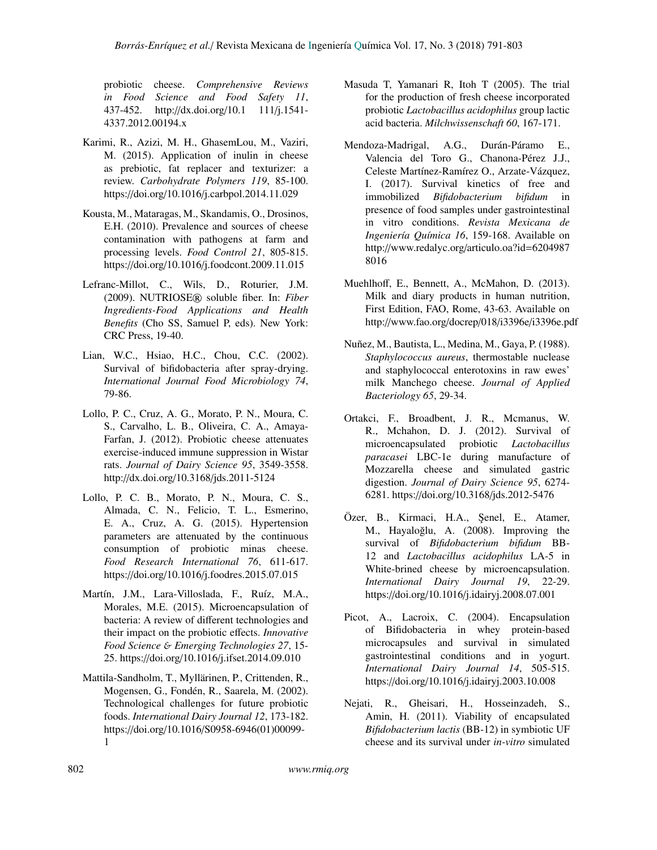probiotic cheese. *Comprehensive Reviews in Food Science and Food Safety 11*, 437-452. http://dx.doi.org/10.1 111/j.1541- 4337.2012.00194.x

- Karimi, R., Azizi, M. H., GhasemLou, M., Vaziri, M. (2015). Application of inulin in cheese as prebiotic, fat replacer and texturizer: a review. *Carbohydrate Polymers 119*, 85-100. https://doi.org/10.1016/j.carbpol.2014.11.029
- Kousta, M., Mataragas, M., Skandamis, O., Drosinos, E.H. (2010). Prevalence and sources of cheese contamination with pathogens at farm and processing levels. *Food Control 21*, 805-815. https://doi.org/10.1016/j.foodcont.2009.11.015
- Lefranc-Millot, C., Wils, D., Roturier, J.M. (2009). NUTRIOSE® soluble fiber. In: *Fiber Ingredients-Food Applications and Health Benefits* (Cho SS, Samuel P, eds). New York: CRC Press, 19-40.
- Lian, W.C., Hsiao, H.C., Chou, C.C. (2002). Survival of bifidobacteria after spray-drying. *International Journal Food Microbiology 74*, 79-86.
- Lollo, P. C., Cruz, A. G., Morato, P. N., Moura, C. S., Carvalho, L. B., Oliveira, C. A., Amaya-Farfan, J. (2012). Probiotic cheese attenuates exercise-induced immune suppression in Wistar rats. *Journal of Dairy Science 95*, 3549-3558. http://dx.doi.org/10.3168/jds.2011-5124
- Lollo, P. C. B., Morato, P. N., Moura, C. S., Almada, C. N., Felicio, T. L., Esmerino, E. A., Cruz, A. G. (2015). Hypertension parameters are attenuated by the continuous consumption of probiotic minas cheese. *Food Research International 76*, 611-617. https://doi.org/10.1016/j.foodres.2015.07.015
- Martín, J.M., Lara-Villoslada, F., Ruíz, M.A., Morales, M.E. (2015). Microencapsulation of bacteria: A review of different technologies and their impact on the probiotic effects. *Innovative Food Science* & *Emerging Technologies 27*, 15- 25. https://doi.org/10.1016/j.ifset.2014.09.010
- Mattila-Sandholm, T., Myllärinen, P., Crittenden, R., Mogensen, G., Fondén, R., Saarela, M. (2002). Technological challenges for future probiotic foods. *International Dairy Journal 12*, 173-182. https://doi.org/10.1016/S0958-6946(01)00099- 1
- Masuda T, Yamanari R, Itoh T (2005). The trial for the production of fresh cheese incorporated probiotic *Lactobacillus acidophilus* group lactic acid bacteria. *Milchwissenschaft 60*, 167-171.
- Mendoza-Madrigal, A.G., Durán-Páramo E., Valencia del Toro G., Chanona-Pérez J.J., Celeste Martínez-Ramírez O., Arzate-Vázquez, I. (2017). Survival kinetics of free and immobilized *Bifidobacterium bifidum* in presence of food samples under gastrointestinal in vitro conditions. *Revista Mexicana de Ingeniería Química 16*, 159-168. Available on http://www.redalyc.org/articulo.oa?id=6204987 8016
- Muehlhoff, E., Bennett, A., McMahon, D. (2013). Milk and diary products in human nutrition, First Edition, FAO, Rome, 43-63. Available on http://www.fao.org/docrep/018/i3396e/i3396e.pdf
- Nuñez, M., Bautista, L., Medina, M., Gaya, P. (1988). *Staphylococcus aureus*, thermostable nuclease and staphylococcal enterotoxins in raw ewes' milk Manchego cheese. *Journal of Applied Bacteriology 65*, 29-34.
- Ortakci, F., Broadbent, J. R., Mcmanus, W. R., Mchahon, D. J. (2012). Survival of microencapsulated probiotic *Lactobacillus paracasei* LBC-1e during manufacture of Mozzarella cheese and simulated gastric digestion. *Journal of Dairy Science 95*, 6274- 6281. https://doi.org/10.3168/jds.2012-5476
- Özer, B., Kirmaci, H.A., Şenel, E., Atamer, M., Hayaloğlu, A. (2008). Improving the survival of *Bifidobacterium bifidum* BB-12 and *Lactobacillus acidophilus* LA-5 in White-brined cheese by microencapsulation. *International Dairy Journal 19*, 22-29. https://doi.org/10.1016/j.idairyj.2008.07.001
- Picot, A., Lacroix, C. (2004). Encapsulation of Bifidobacteria in whey protein-based microcapsules and survival in simulated gastrointestinal conditions and in yogurt. *International Dairy Journal 14*, 505-515. https://doi.org/10.1016/j.idairyj.2003.10.008
- Nejati, R., Gheisari, H., Hosseinzadeh, S., Amin, H. (2011). Viability of encapsulated *Bifidobacterium lactis* (BB-12) in symbiotic UF cheese and its survival under *in-vitro* simulated